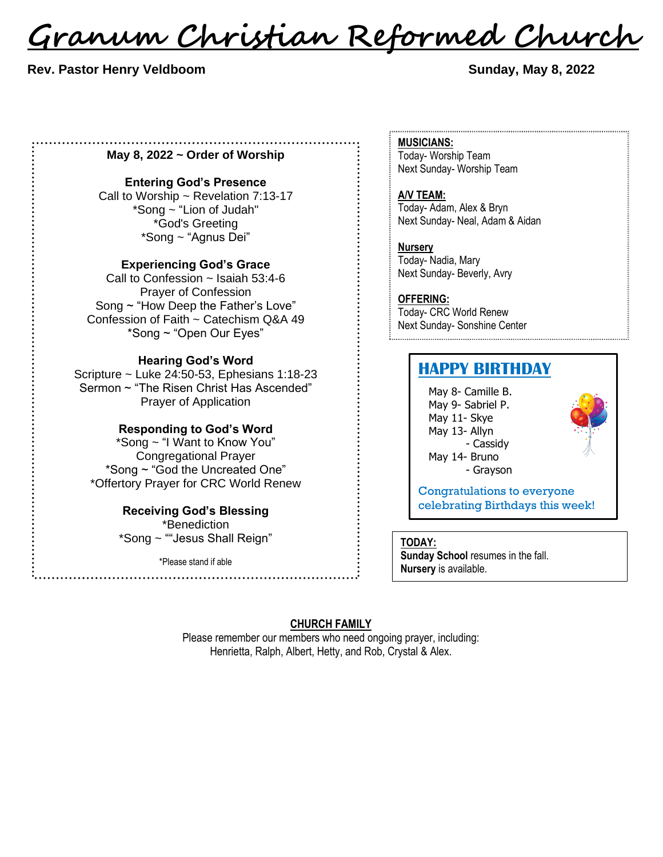<u>Granum Christian Reformed Church</u>

# **Rev. Pastor Henry Veldboom Sunday, May 8, 2022**

#### **May 8, 2022 ~ Order of Worship**

### **Entering God's Presence**

Call to Worship ~ Revelation 7:13-17 \*Song ~ "Lion of Judah" \*God's Greeting \*Song ~ "Agnus Dei"

# **Experiencing God's Grace**

Call to Confession ~ Isaiah 53:4-6 Prayer of Confession Song ~ "How Deep the Father's Love" Confession of Faith ~ Catechism Q&A 49 \*Song ~ "Open Our Eyes"

# **Hearing God's Word**

Scripture ~ Luke 24:50-53, Ephesians 1:18-23 Sermon ~ "The Risen Christ Has Ascended" Prayer of Application

#### **Responding to God's Word**

\*Song ~ "I Want to Know You" Congregational Prayer \*Song ~ "God the Uncreated One" \*Offertory Prayer for CRC World Renew

# **Receiving God's Blessing**

\*Benediction \*Song ~ ""Jesus Shall Reign"

\*Please stand if able

# **MUSICIANS:** Today- Worship Team

Next Sunday- Worship Team

**A/V TEAM:** Today- Adam, Alex & Bryn Next Sunday- Neal, Adam & Aidan

**Nursery** Today- Nadia, Mary Next Sunday- Beverly, Avry

**OFFERING:** Today- CRC World Renew Next Sunday- Sonshine Center 

# **HAPPY BIRTHDAY**

May 8- Camille B. May 9- Sabriel P. May 11- Skye May 13- Allyn - Cassidy May 14- Bruno - Grayson



Congratulations to everyone celebrating Birthdays this week!

#### **TODAY:**

**Sunday School** resumes in the fall. **Nursery** is available.

# **CHURCH FAMILY**

Please remember our members who need ongoing prayer, including: Henrietta, Ralph, Albert, Hetty, and Rob, Crystal & Alex.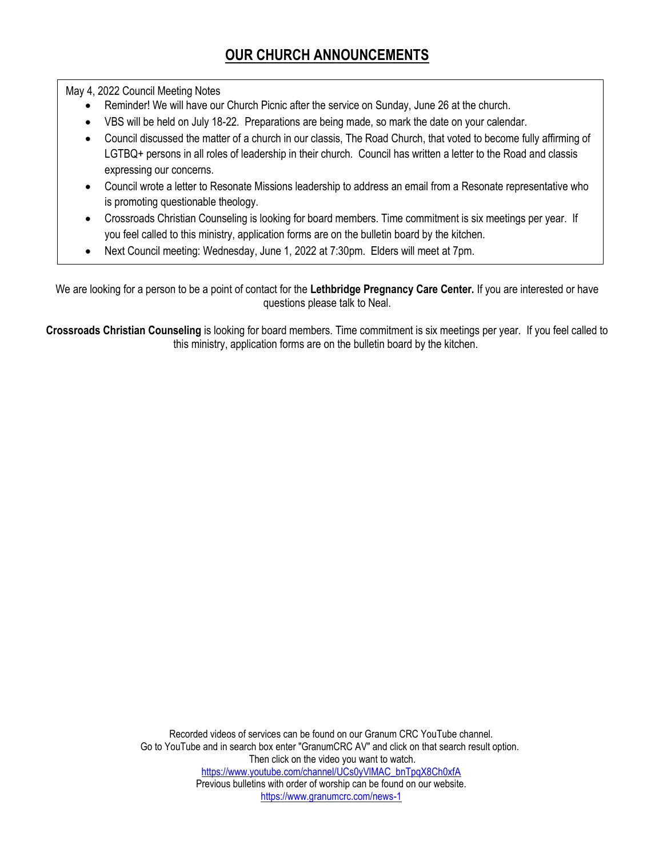May 4, 2022 Council Meeting Notes

- Reminder! We will have our Church Picnic after the service on Sunday, June 26 at the church.
- VBS will be held on July 18-22. Preparations are being made, so mark the date on your calendar.
- Council discussed the matter of a church in our classis, The Road Church, that voted to become fully affirming of LGTBQ+ persons in all roles of leadership in their church. Council has written a letter to the Road and classis expressing our concerns.
- Council wrote a letter to Resonate Missions leadership to address an email from a Resonate representative who is promoting questionable theology.
- Crossroads Christian Counseling is looking for board members. Time commitment is six meetings per year. If you feel called to this ministry, application forms are on the bulletin board by the kitchen.
- Next Council meeting: Wednesday, June 1, 2022 at 7:30pm. Elders will meet at 7pm.

We are looking for a person to be a point of contact for the **Lethbridge Pregnancy Care Center.** If you are interested or have questions please talk to Neal.

**Crossroads Christian Counseling** is looking for board members. Time commitment is six meetings per year. If you feel called to this ministry, application forms are on the bulletin board by the kitchen.